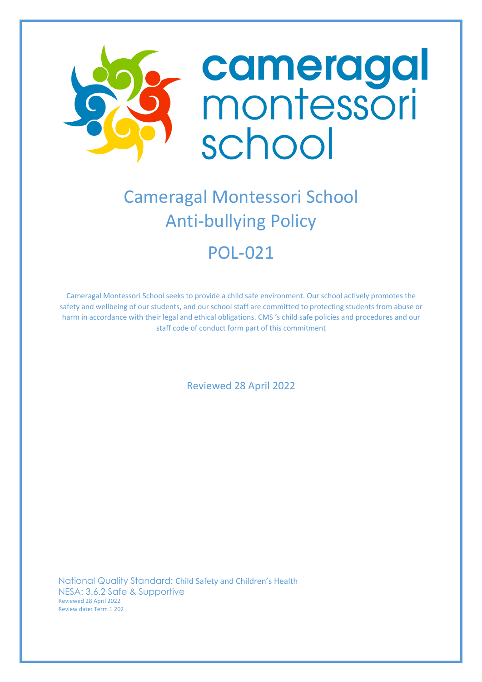

# Cameragal Montessori School Anti-bullying Policy POL-021

Cameragal Montessori School seeks to provide a child safe environment. Our school actively promotes the safety and wellbeing of our students, and our school staff are committed to protecting students from abuse or harm in accordance with their legal and ethical obligations. CMS 's child safe policies and procedures and our staff code of conduct form part of this commitment

Reviewed 28 April 2022

National Quality Standard: Child Safety and Children's Health NESA: 3.6.2 Safe & Supportive Reviewed 28 April 2022 Review date: Term 1 202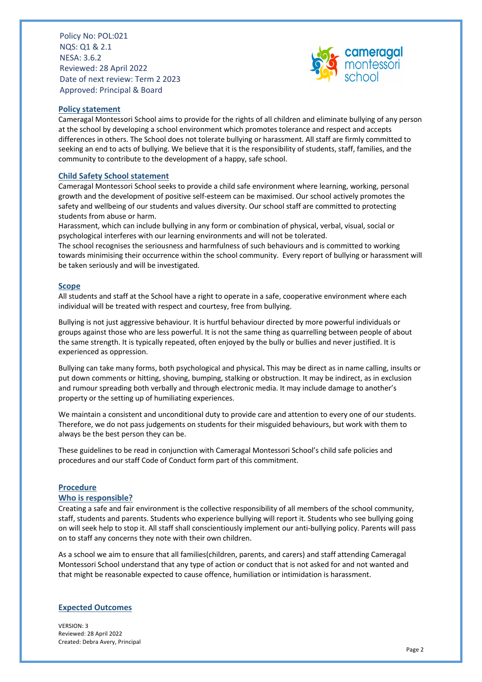

## **Policy statement**

Cameragal Montessori School aims to provide for the rights of all children and eliminate bullying of any person at the school by developing a school environment which promotes tolerance and respect and accepts differences in others. The School does not tolerate bullying or harassment. All staff are firmly committed to seeking an end to acts of bullying. We believe that it is the responsibility of students, staff, families, and the community to contribute to the development of a happy, safe school.

#### **Child Safety School statement**

Cameragal Montessori School seeks to provide a child safe environment where learning, working, personal growth and the development of positive self-esteem can be maximised. Our school actively promotes the safety and wellbeing of our students and values diversity. Our school staff are committed to protecting students from abuse or harm.

Harassment, which can include bullying in any form or combination of physical, verbal, visual, social or psychological interferes with our learning environments and will not be tolerated.

The school recognises the seriousness and harmfulness of such behaviours and is committed to working towards minimising their occurrence within the school community. Every report of bullying or harassment will be taken seriously and will be investigated.

#### **Scope**

All students and staff at the School have a right to operate in a safe, cooperative environment where each individual will be treated with respect and courtesy, free from bullying.

Bullying is not just aggressive behaviour. It is hurtful behaviour directed by more powerful individuals or groups against those who are less powerful. It is not the same thing as quarrelling between people of about the same strength. It is typically repeated, often enjoyed by the bully or bullies and never justified. It is experienced as oppression.

Bullying can take many forms, both psychological and physical**.** This may be direct as in name calling, insults or put down comments or hitting, shoving, bumping, stalking or obstruction. It may be indirect, as in exclusion and rumour spreading both verbally and through electronic media. It may include damage to another's property or the setting up of humiliating experiences.

We maintain a consistent and unconditional duty to provide care and attention to every one of our students. Therefore, we do not pass judgements on students for their misguided behaviours, but work with them to always be the best person they can be.

These guidelines to be read in conjunction with Cameragal Montessori School's child safe policies and procedures and our staff Code of Conduct form part of this commitment.

#### **Procedure**

#### **Who is responsible?**

Creating a safe and fair environment is the collective responsibility of all members of the school community, staff, students and parents. Students who experience bullying will report it. Students who see bullying going on will seek help to stop it. All staff shall conscientiously implement our anti-bullying policy. Parents will pass on to staff any concerns they note with their own children.

As a school we aim to ensure that all families(children, parents, and carers) and staff attending Cameragal Montessori School understand that any type of action or conduct that is not asked for and not wanted and that might be reasonable expected to cause offence, humiliation or intimidation is harassment.

#### **Expected Outcomes**

VERSION: 3 Reviewed: 28 April 2022 Created: Debra Avery, Principal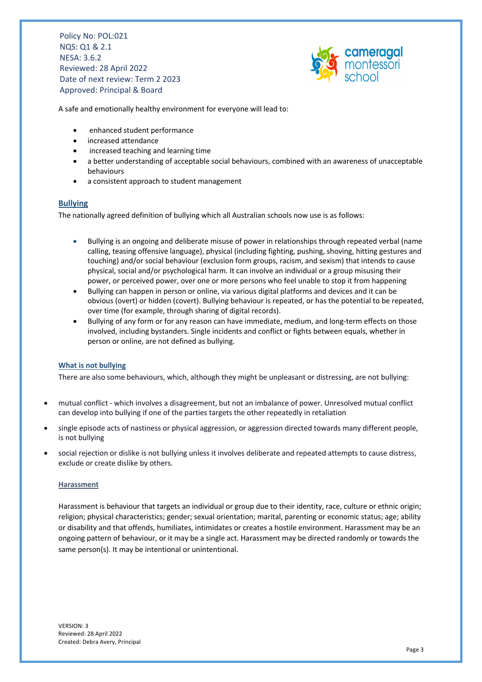

A safe and emotionally healthy environment for everyone will lead to:

- enhanced student performance
- increased attendance
- increased teaching and learning time
- a better understanding of acceptable social behaviours, combined with an awareness of unacceptable behaviours
- a consistent approach to student management

# **Bullying**

The nationally agreed definition of bullying which all Australian schools now use is as follows:

- Bullying is an ongoing and deliberate misuse of power in relationships through repeated verbal (name calling, teasing offensive language), physical (including fighting, pushing, shoving, hitting gestures and touching) and/or social behaviour (exclusion form groups, racism, and sexism) that intends to cause physical, social and/or psychological harm. It can involve an individual or a group misusing their power, or perceived power, over one or more persons who feel unable to stop it from happening
- Bullying can happen in person or online, via various digital platforms and devices and it can be obvious (overt) or hidden (covert). Bullying behaviour is repeated, or has the potential to be repeated, over time (for example, through sharing of digital records).
- Bullying of any form or for any reason can have immediate, medium, and long-term effects on those involved, including bystanders. Single incidents and conflict or fights between equals, whether in person or online, are not defined as bullying.

#### **What is not bullying**

There are also some behaviours, which, although they might be unpleasant or distressing, are not bullying:

- mutual conflict which involves a disagreement, but not an imbalance of power. Unresolved mutual conflict can develop into bullying if one of the parties targets the other repeatedly in retaliation
- single episode acts of nastiness or physical aggression, or aggression directed towards many different people, is not bullying
- social rejection or dislike is not bullying unless it involves deliberate and repeated attempts to cause distress, exclude or create dislike by others.

#### **Harassment**

Harassment is behaviour that targets an individual or group due to their identity, race, culture or ethnic origin; religion; physical characteristics; gender; sexual orientation; marital, parenting or economic status; age; ability or disability and that offends, humiliates, intimidates or creates a hostile environment. Harassment may be an ongoing pattern of behaviour, or it may be a single act. Harassment may be directed randomly or towards the same person(s). It may be intentional or unintentional.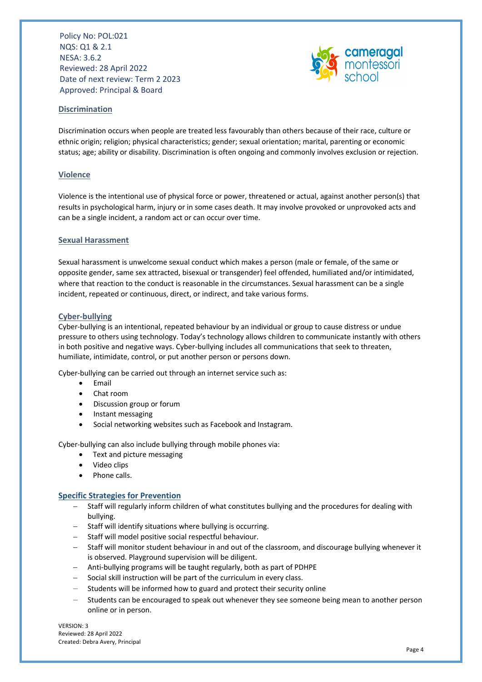

# **Discrimination**

Discrimination occurs when people are treated less favourably than others because of their race, culture or ethnic origin; religion; physical characteristics; gender; sexual orientation; marital, parenting or economic status; age; ability or disability. Discrimination is often ongoing and commonly involves exclusion or rejection.

# **Violence**

Violence is the intentional use of physical force or power, threatened or actual, against another person(s) that results in psychological harm, injury or in some cases death. It may involve provoked or unprovoked acts and can be a single incident, a random act or can occur over time.

## **Sexual Harassment**

Sexual harassment is unwelcome sexual conduct which makes a person (male or female, of the same or opposite gender, same sex attracted, bisexual or transgender) feel offended, humiliated and/or intimidated, where that reaction to the conduct is reasonable in the circumstances. Sexual harassment can be a single incident, repeated or continuous, direct, or indirect, and take various forms.

#### **Cyber-bullying**

Cyber-bullying is an intentional, repeated behaviour by an individual or group to cause distress or undue pressure to others using technology. Today's technology allows children to communicate instantly with others in both positive and negative ways. Cyber-bullying includes all communications that seek to threaten, humiliate, intimidate, control, or put another person or persons down.

Cyber-bullying can be carried out through an internet service such as:

- Email
- Chat room
- Discussion group or forum
- Instant messaging
- Social networking websites such as Facebook and Instagram.

Cyber-bullying can also include bullying through mobile phones via:

- Text and picture messaging
- Video clips
- Phone calls.

# **Specific Strategies for Prevention**

- Staff will regularly inform children of what constitutes bullying and the procedures for dealing with bullying.
- Staff will identify situations where bullying is occurring.
- Staff will model positive social respectful behaviour.
- Staff will monitor student behaviour in and out of the classroom, and discourage bullying whenever it is observed. Playground supervision will be diligent.
- Anti-bullying programs will be taught regularly, both as part of PDHPE
- Social skill instruction will be part of the curriculum in every class.
- Students will be informed how to guard and protect their security online
- Students can be encouraged to speak out whenever they see someone being mean to another person online or in person.

VERSION: 3 Reviewed: 28 April 2022 Created: Debra Avery, Principal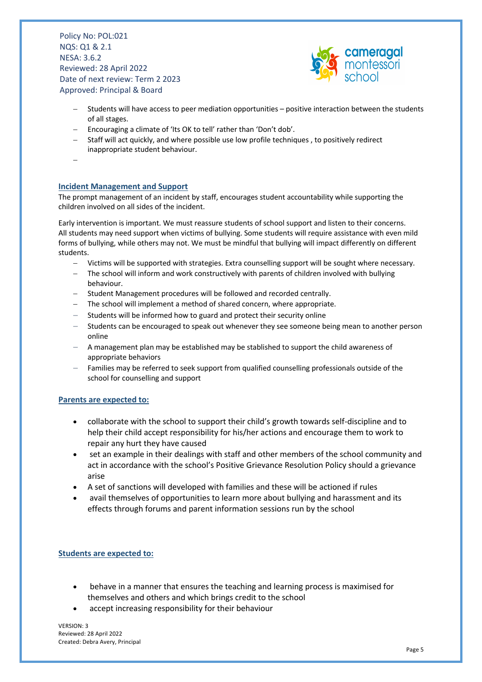

- Students will have access to peer mediation opportunities positive interaction between the students of all stages.
- Encouraging a climate of 'Its OK to tell' rather than 'Don't dob'.
- Staff will act quickly, and where possible use low profile techniques , to positively redirect inappropriate student behaviour.
- -

# **Incident Management and Support**

The prompt management of an incident by staff, encourages student accountability while supporting the children involved on all sides of the incident.

Early intervention is important. We must reassure students of school support and listen to their concerns. All students may need support when victims of bullying. Some students will require assistance with even mild forms of bullying, while others may not. We must be mindful that bullying will impact differently on different students.

- Victims will be supported with strategies. Extra counselling support will be sought where necessary.
- The school will inform and work constructively with parents of children involved with bullying behaviour.
- Student Management procedures will be followed and recorded centrally.
- The school will implement a method of shared concern, where appropriate.
- Students will be informed how to guard and protect their security online
- Students can be encouraged to speak out whenever they see someone being mean to another person online
- A management plan may be established may be stablished to support the child awareness of appropriate behaviors
- Families may be referred to seek support from qualified counselling professionals outside of the school for counselling and support

# **Parents are expected to:**

- collaborate with the school to support their child's growth towards self-discipline and to help their child accept responsibility for his/her actions and encourage them to work to repair any hurt they have caused
- set an example in their dealings with staff and other members of the school community and act in accordance with the school's Positive Grievance Resolution Policy should a grievance arise
- A set of sanctions will developed with families and these will be actioned if rules
- avail themselves of opportunities to learn more about bullying and harassment and its effects through forums and parent information sessions run by the school

# **Students are expected to:**

- behave in a manner that ensures the teaching and learning process is maximised for themselves and others and which brings credit to the school
- accept increasing responsibility for their behaviour

VERSION: 3 Reviewed: 28 April 2022 Created: Debra Avery, Principal